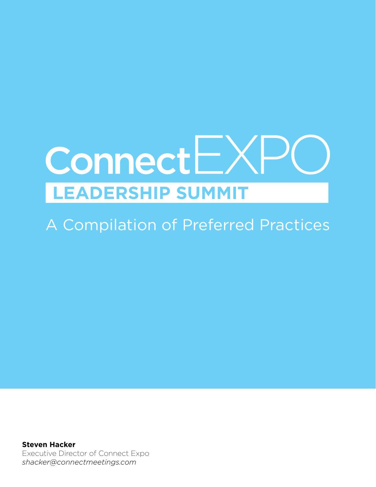# **Connect**EXI **LEADERSHIP SUMMIT**

A Compilation of Preferred Practices

**Steven Hacker** Executive Director of Connect Expo *shacker@connectmeetings.com*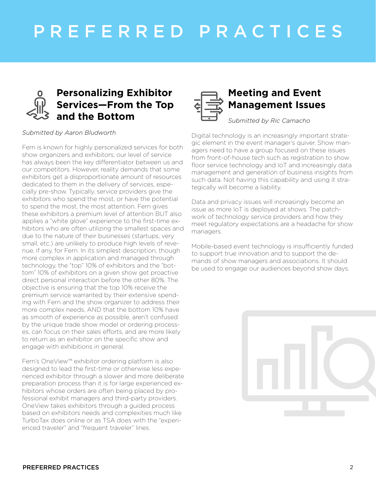# PREFERRED PRACTICES



#### *Submitted by Aaron Bludworth*

Fern is known for highly personalized services for both show organizers and exhibitors; our level of service has always been the key differentiator between us and our competitors. However, reality demands that some exhibitors get a disproportionate amount of resources dedicated to them in the delivery of services, especially pre-show. Typically, service providers give the exhibitors who spend the most, or have the potential to spend the most, the most attention. Fern gives these exhibitors a premium level of attention BUT also applies a "white glove" experience to the first-time exhibitors who are often utilizing the smallest spaces and due to the nature of their businesses (startups, very small, etc.) are unlikely to produce high levels of revenue, if any, for Fern. In its simplest description, though more complex in application and managed through technology, the "top" 10% of exhibitors and the "bottom" 10% of exhibitors on a given show get proactive direct personal interaction before the other 80%. The objective is ensuring that the top 10% receive the premium service warranted by their extensive spending with Fern and the show organizer to address their more complex needs, AND that the bottom 10% have as smooth of experience as possible, aren't confused by the unique trade show model or ordering processes, can focus on their sales efforts, and are more likely to return as an exhibitor on the specific show and engage with exhibitions in general.

Fern's OneView™ exhibitor ordering platform is also designed to lead the first-time or otherwise less experienced exhibitor through a slower and more deliberate preparation process than it is for large experienced exhibitors whose orders are often being placed by professional exhibit managers and third-party providers. OneView takes exhibitors through a guided process based on exhibitors needs and complexities much like TurboTax does online or as TSA does with the "experienced traveler" and "frequent traveler" lines.



### **Meeting and Event Management Issues**

#### *Submitted by Ric Camacho*

Digital technology is an increasingly important strategic element in the event manager's quiver. Show managers need to have a group focused on these issues from front-of-house tech such as registration to show floor service technology and IoT and increasingly data management and generation of business insights from such data. Not having this capability and using it strategically will become a liability.

Data and privacy issues will increasingly become an issue as more IoT is deployed at shows. The patchwork of technology service providers and how they meet regulatory expectations are a headache for show managers.

Mobile-based event technology is insufficiently funded to support true innovation and to support the demands of show managers and associations. It should be used to engage our audiences beyond show days.

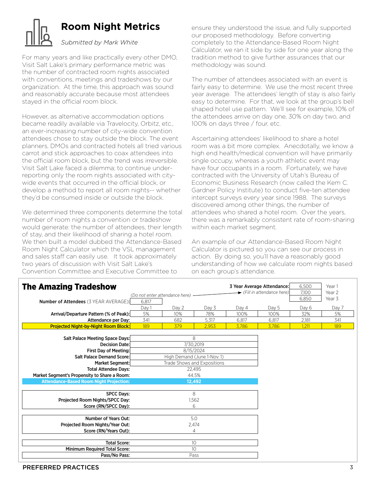

### **Room Night Metrics**

### *Submitted by Mark White*

For many years and like practically every other DMO, Visit Salt Lake's primary performance metric was the number of contracted room nights associated with conventions, meetings and tradeshows by our organization. At the time, this approach was sound and reasonably accurate because most attendees stayed in the official room block.

However, as alternative accommodation options became readily available via Travelocity, Orbitz, etc., an ever-increasing number of city-wide convention attendees chose to stay outside the block. The event planners, DMOs and contracted hotels all tried various carrot and stick approaches to coax attendees into the official room block, but the trend was irreversible. Visit Salt Lake faced a dilemma; to continue underreporting only the room nights associated with citywide events that occurred in the official block, or develop a method to report all room nights-- whether they'd be consumed inside or outside the block.

We determined three components determine the total number of room nights a convention or tradeshow would generate: the number of attendees, their length of stay, and their likelihood of sharing a hotel room. We then built a model dubbed the Attendance-Based Room Night Calculator which the VSL management and sales staff can easily use. It took approximately two years of discussion with Visit Salt Lake's Convention Committee and Executive Committee to

ensure they understood the issue, and fully supported our proposed methodology. Before converting completely to the Attendance-Based Room Night Calculator, we ran it side by side for one year along the tradition method to give further assurances that our methodology was sound.

The number of attendees associated with an event is fairly easy to determine. We use the most recent three year average. The attendees' length of stay is also fairly easy to determine. For that, we look at the group's bell shaped hotel use pattern. We'll see for example, 10% of the attendees arrive on day one, 30% on day two, and 100% on days three / four, etc.

Ascertaining attendees' likelihood to share a hotel room was a bit more complex. Anecdotally, we know a high end health/medical convention will have primarily single occupy, whereas a youth athletic event may have four occupants in a room. Fortunately, we have contracted with the University of Utah's Bureau of Economic Business Research (now called the Kem C. Gardner Policy Institute) to conduct five-ten attendee intercept surveys every year since 1988. The surveys discovered among other things, the number of attendees who shared a hotel room. Over the years, there was a remarkably consistent rate of room-sharing within each market segment.

An example of our Attendance-Based Room Night Calculator is pictured so you can see our process in action. By doing so, you'll have a reasonably good understanding of how we calculate room nights based on each group's attendance.

| <b>The Amazing Tradeshow</b>                   |       | (Do not enter attendance here) |       |       | 3 Year Average Attendance:<br>Fill in attendance here) | 6,500<br>7,100 | Year 1<br>Year 2 |
|------------------------------------------------|-------|--------------------------------|-------|-------|--------------------------------------------------------|----------------|------------------|
| <b>Number of Attendees (3 YEAR AVERAGE):</b>   | 6,817 |                                |       |       |                                                        | 6,850          | Year 3           |
|                                                | Day 1 | Day 2                          | Day 3 | Day 4 | Day 5                                                  | Day 6          | Day 7            |
| Arrival/Departure Pattern (% of Peak):         | 5%    | 10%                            | 78%   | 100%  | 100%                                                   | 32%            | 5%               |
| Attendance per Day:                            | 341   | 682                            | 5,317 | 6,817 | 6,817                                                  | 2,181          | 341              |
| <b>Projected Night-by-Night Room Block:</b>    | 189   | 379                            | 2,953 | 3,786 | 3,786                                                  | 1,211          | 189              |
| Salt Palace Meeting Space Days:                |       | 8                              |       |       |                                                        |                |                  |
| <b>Decision Date:</b>                          |       | 7/30,2019                      |       |       |                                                        |                |                  |
| First Day of Meeting:                          |       | 8/15/2024                      |       |       |                                                        |                |                  |
| <b>Salt Palace Demand Score:</b>               |       | High Demand (June 1-Nov. 1)    |       |       |                                                        |                |                  |
| Market Segment:                                |       | Trade Shows and Expositions    |       |       |                                                        |                |                  |
| <b>Total Attendee Days:</b>                    |       | 22,495                         |       |       |                                                        |                |                  |
| Market Segment's Propensity to Share a Room:   |       | 44.5%                          |       |       |                                                        |                |                  |
| <b>Attendance-Based Room Night Projection:</b> |       | 12,492                         |       |       |                                                        |                |                  |
|                                                |       |                                |       |       |                                                        |                |                  |
| <b>SPCC Days:</b>                              |       | 8                              |       |       |                                                        |                |                  |
| Projected Room Nights/SPCC Day:                |       | 1,562                          |       |       |                                                        |                |                  |
| Score (RN/SPCC Day):                           |       | 6                              |       |       |                                                        |                |                  |
|                                                |       |                                |       |       |                                                        |                |                  |
| <b>Number of Years Out:</b>                    | 5.0   |                                |       |       |                                                        |                |                  |
| Projected Room Nights/Year Out:                | 2,474 |                                |       |       |                                                        |                |                  |
| Score (RN/Years Out):                          |       | 4                              |       |       |                                                        |                |                  |
|                                                |       |                                |       |       |                                                        |                |                  |
| <b>Total Score:</b>                            |       | 10                             |       |       |                                                        |                |                  |
| <b>Minimum Required Total Score:</b>           |       | 10                             |       |       |                                                        |                |                  |
| Pass/No Pass:                                  |       | Pass                           |       |       |                                                        |                |                  |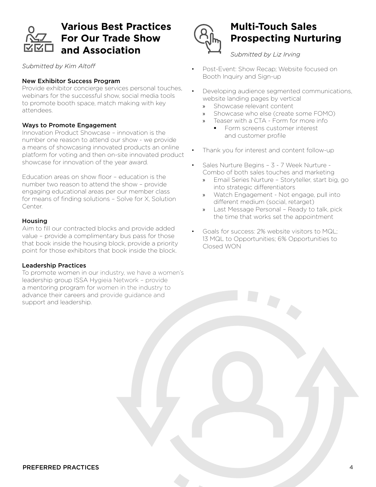

### **Various Best Practices For Our Trade Show and Association**

*Submitted by Kim Altoff*

#### New Exhibitor Success Program

Provide exhibitor concierge services personal touches, webinars for the successful show, social media tools to promote booth space, match making with key attendees.

#### Ways to Promote Engagement

Innovation Product Showcase – innovation is the number one reason to attend our show - we provide a means of showcasing innovated products an online platform for voting and then on-site innovated product showcase for innovation of the year award.

Education areas on show floor – education is the number two reason to attend the show – provide engaging educational areas per our member class for means of finding solutions – Solve for X, Solution Center.

#### Housing

Aim to fill our contracted blocks and provide added value – provide a complimentary bus pass for those that book inside the housing block, provide a priority point for those exhibitors that book inside the block.

#### Leadership Practices

To promote women in our industry, we have a women's leadership group ISSA Hygieia Network – provide a mentoring program for women in the industry to advance their careers and provide guidance and support and leadership.



### **Multi-Touch Sales Prospecting Nurturing**

*Submitted by Liz Irving*

- Post-Event: Show Recap; Website focused on Booth Inquiry and Sign-up
- Developing audience segmented communications, website landing pages by vertical
	- » Showcase relevant content
	- » Showcase who else (create some FOMO)
		- » Teaser with a CTA Form for more info § Form screens customer interest and customer profile
- Thank you for interest and content follow-up
- Sales Nurture Begins 3 7 Week Nurture Combo of both sales touches and marketing
	- » Email Series Nurture Storyteller, start big, go into strategic differentiators
	- » Watch Engagement Not engage, pull into different medium (social, retarget)
	- » Last Message Personal Ready to talk, pick the time that works set the appointment
- Goals for success: 2% website visitors to MQL; 13 MQL to Opportunities; 6% Opportunities to Closed WON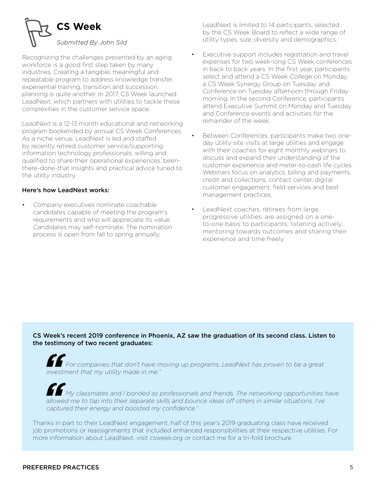

Recognizing the challenges presented by an aging workforce is a good first step taken by many industries. Creating a tangible, meaningful and repeatable program to address knowledge transfer, experiential training, transition and succession planning is quite another. In 2017, CS Week launched LeadNext, which partners with utilities to tackle these complexities in the customer service space.

LeadNext is a 12-13 month educational and networking program bookended by annual CS Week Conferences. As a niche venue, LeadNext is led and staffed by recently retired customer service/supporting information technology professionals, willing and qualified to share their operational experiences, beenthere-done-that insights and practical advice tuned to the utility industry.

#### Here's how LeadNext works:

• Company executives nominate coachable candidates capable of meeting the program's requirements and who will appreciate its value. Candidates may self-nominate. The nomination process is open from fall to spring annually.

LeadNext is limited to 14 participants, selected by the CS Week Board to reflect a wide range of utility types, size, diversity and demographics.

- Executive support includes registration and travel expenses for two week-long CS Week conferences in back to back years. In the first year, participants select and attend a CS Week College on Monday, a CS Week Synergy Group on Tuesday and Conference on Tuesday afternoon through Friday morning. In the second Conference, participants attend Executive Summit on Monday and Tuesday and Conference events and activities for the remainder of the week.
- Between Conferences, participants make two oneday utility site visits at large utilities and engage with their coaches for eight monthly webinars to discuss and expand their understanding of the customer experience and meter-to-cash life cycles. Webinars focus on analytics, billing and payments, credit and collections, contact center, digital customer engagement, field services and best management practices.
- LeadNext coaches, retirees from large, progressive utilities, are assigned on a oneto-one basis to participants, listening actively, mentoring towards outcomes and sharing their experience and time freely.

#### CS Week's recent 2019 conference in Phoenix, AZ saw the graduation of its second class. Listen to the testimony of two recent graduates:

*For companies that don't have moving up programs, LeadNext has proven to be a great investment that my utility made in me."*

*My classmates and I bonded as professionals and friends. The networking opportunities have allowed me to tap into their separate skills and bounce ideas off others in similar situations. I've captured their energy and boosted my confidence."*

Thanks in part to their LeadNext engagement, half of this year's 2019 graduating class have received job promotions or reassignments that included enhanced responsibilities at their respective utilities. For more information about LeadNext, visit csweek.org or contact me for a tri-fold brochure.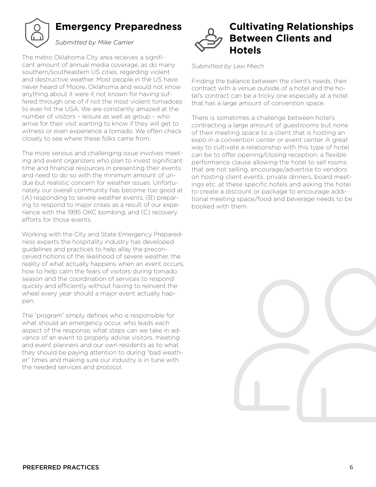

### **Emergency Preparedness**

### *Submitted by Mike Carrier*

The metro Oklahoma City area receives a significant amount of annual media coverage, as do many southern/southeastern US cities, regarding violent and destructive weather. Most people in the US have never heard of Moore, Oklahoma and would not know anything about it were it not known for having suffered through one of if not the most violent tornadoes to ever hit the USA. We are constantly amazed at the number of visitors – leisure as well as group – who arrive for their visit wanting to know if they will get to witness or even experience a tornado. We often check closely to see where these folks came from.

The more serious and challenging issue involves meeting and event organizers who plan to invest significant time and financial resources in presenting their events and need to do so with the minimum amount of undue but realistic concern for weather issues. Unfortunately our overall community has become too good at (A) responding to severe weather events, (B) preparing to respond to major crises as a result of our experience with the 1995 OKC bombing, and (C) recovery efforts for those events.

Working with the City and State Emergency Preparedness experts the hospitality industry has developed guidelines and practices to help allay the preconceived notions of the likelihood of severe weather, the reality of what actually happens when an event occurs, how to help calm the fears of visitors during tornado season and the coordination of services to respond quickly and efficiently without having to reinvent the wheel every year should a major event actually happen.

The "program" simply defines who is responsible for what should an emergency occur, who leads each aspect of the response, what steps can we take in advance of an event to properly advise visitors, meeting and event planners and our own residents as to what they should be paying attention to during "bad weather" times and making sure our industry is in tune with the needed services and protocol.



#### *Submitted by Lexi Miech*

Finding the balance between the client's needs, their contract with a venue outside of a hotel and the hotel's contract can be a tricky one especially at a hotel that has a large amount of convention space.

There is sometimes a challenge between hotel's contracting a large amount of guestrooms but none of their meeting space to a client that is hosting an expo in a convention center or event center. A great way to cultivate a relationship with this type of hotel can be to offer opening/closing reception, a flexible performance clause allowing the hotel to sell rooms that are not selling, encourage/advertise to vendors on hosting client events, private dinners, board meetings etc. at these specific hotels and asking the hotel to create a discount or package to encourage additional meeting space/food and beverage needs to be booked with them.

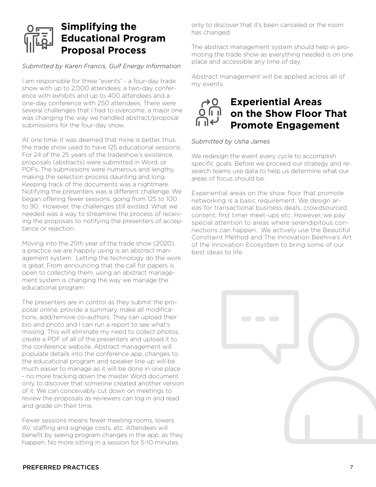### **Simplifying the Educational Program Proposal Process**

#### *Submitted by Karen Francis, Gulf Energy Information*

I am responsible for three "events" - a four-day trade show with up to 2,000 attendees; a two-day conference with exhibits and up to 400 attendees and a one-day conference with 250 attendees. There were several challenges that I had to overcome, a major one was changing the way we handled abstract/proposal submissions for the four-day show.

At one time, it was deemed that more is better, thus, the trade show used to have 125 educational sessions. For 24 of the 25 years of the tradeshow's existence, proposals (abstracts) were submitted in Word, or PDFs. The submissions were numerous and lengthy, making the selection process daunting and long. Keeping track of the documents was a nightmare. Notifying the presenters was a different challenge. We began offering fewer sessions, going from 125 to 100 to 90. However, the challenges still existed. What we needed was a way to streamline the process of receiving the proposals to notifying the presenters of acceptance or rejection.

Moving into the 25th year of the trade show (2020), a practice we are happily using is an abstract management system. Letting the technology do the work is great. From announcing that the call for papers is open to collecting them, using an abstract management system is changing the way we manage the educational program.

The presenters are in control as they submit the proposal online, provide a summary, make all modifications, add/remove co-authors. They can upload their bio and photo and I can run a report to see what's missing. This will eliminate my need to collect photos, create a PDF of all of the presenters and upload it to the conference website. Abstract management will populate details into the conference app, changes to the educational program and speaker line up will be much easier to manage as it will be done in one place - no more tracking down the master Word document only to discover that someone created another version of it. We can conceivably cut down on meetings to review the proposals as reviewers can log in and read and grade on their time.

Fewer sessions means fewer meeting rooms, lowers AV, staffing and signage costs, etc. Attendees will benefit by seeing program changes in the app, as they happen. No more sitting in a session for 5-10 minutes

only to discover that it's been canceled or the room has changed.

The abstract management system should help in promoting the trade show as everything needed is on one place and accessible any time of day.

Abstract management will be applied across all of my events.

### **Experiential Areas on the Show Floor That Promote Engagement**

#### *Submitted by Usha James*

We redesign the event every cycle to accomplish specific goals. Before we proceed our strategy and research teams use data to help us determine what our areas of focus should be.

Experiential areas on the show floor that promote networking is a basic requirement. We design areas for transactional business deals, crowdsourced content, first timer meet-ups etc. However, we pay special attention to areas where serendipitous connections can happen. We actively use the Beautiful Constraint Method and The Innovation Beehive's Art of the Innovation Ecosystem to bring some of our best ideas to life.

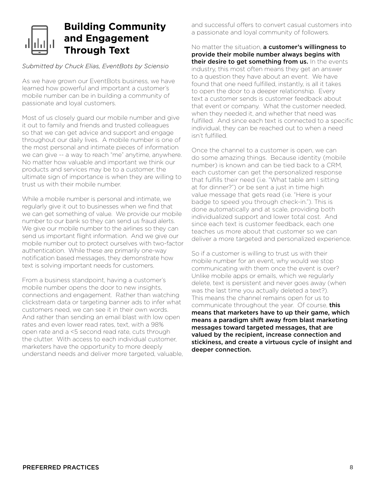### **Building Community and Engagement Through Text**

#### *Submitted by Chuck Elias, EventBots by Sciensio*

As we have grown our EventBots business, we have learned how powerful and important a customer's mobile number can be in building a community of passionate and loyal customers.

Most of us closely guard our mobile number and give it out to family and friends and trusted colleagues so that we can get advice and support and engage throughout our daily lives. A mobile number is one of the most personal and intimate pieces of information we can give -- a way to reach "me" anytime, anywhere. No matter how valuable and important we think our products and services may be to a customer, the ultimate sign of importance is when they are willing to trust us with their mobile number.

While a mobile number is personal and intimate, we regularly give it out to businesses when we find that we can get something of value. We provide our mobile number to our bank so they can send us fraud alerts. We give our mobile number to the airlines so they can send us important flight information. And we give our mobile number out to protect ourselves with two-factor authentication. While these are primarily one-way notification based messages, they demonstrate how text is solving important needs for customers.

From a business standpoint, having a customer's mobile number opens the door to new insights, connections and engagement. Rather than watching clickstream data or targeting banner ads to infer what customers need, we can see it in their own words. And rather than sending an email blast with low open rates and even lower read rates, text, with a 98% open rate and a <5 second read rate, cuts through the clutter. With access to each individual customer, marketers have the opportunity to more deeply understand needs and deliver more targeted, valuable, and successful offers to convert casual customers into a passionate and loyal community of followers.

No matter the situation, a customer's willingness to provide their mobile number always begins with their desire to get something from us. In the events industry, this most often means they get an answer to a question they have about an event. We have found that one need fulfilled, instantly, is all it takes to open the door to a deeper relationship. Every text a customer sends is customer feedback about that event or company. What the customer needed, when they needed it, and whether that need was fulfilled. And since each text is connected to a specific individual, they can be reached out to when a need isn't fulfilled.

Once the channel to a customer is open, we can do some amazing things. Because identity (mobile number) is known and can be tied back to a CRM, each customer can get the personalized response that fulfills their need (i.e. "What table am I sitting at for dinner?") or be sent a just in time high value message that gets read (i.e. "Here is your badge to speed you through check-in."). This is done automatically and at scale, providing both individualized support and lower total cost. And since each text is customer feedback, each one teaches us more about that customer so we can deliver a more targeted and personalized experience.

So if a customer is willing to trust us with their mobile number for an event, why would we stop communicating with them once the event is over? Unlike mobile apps or emails, which we regularly delete, text is persistent and never goes away (when was the last time you actually deleted a text?). This means the channel remains open for us to communicate throughout the year. Of course, this means that marketers have to up their game, which means a paradigm shift away from blast marketing messages toward targeted messages, that are valued by the recipient, increase connection and stickiness, and create a virtuous cycle of insight and deeper connection.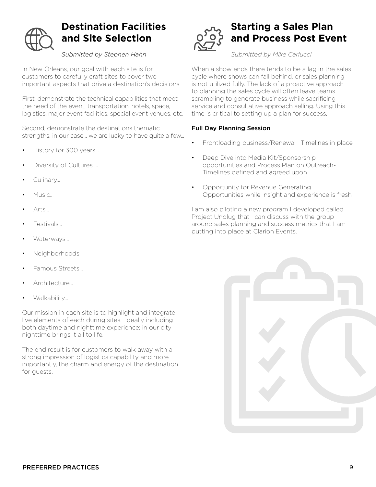

### **Destination Facilities and Site Selection**

### *Submitted by Stephen Hahn*

In New Orleans, our goal with each site is for customers to carefully craft sites to cover two important aspects that drive a destination's decisions.

First, demonstrate the technical capabilities that meet the need of the event, transportation, hotels, space, logistics, major event facilities, special event venues, etc.

Second, demonstrate the destinations thematic strengths, in our case... we are lucky to have quite a few...

- History for 300 years...
- Diversity of Cultures ...
- Culinary...
- Music...
- Arts...
- Festivals...
- Waterways...
- Neighborhoods
- Famous Streets...
- Architecture…
- Walkability...

Our mission in each site is to highlight and integrate live elements of each during sites. Ideally including both daytime and nighttime experience; in our city nighttime brings it all to life.

The end result is for customers to walk away with a strong impression of logistics capability and more importantly, the charm and energy of the destination for guests.



### **Starting a Sales Plan and Process Post Event**

*Submitted by Mike Carlucci*

When a show ends there tends to be a lag in the sales cycle where shows can fall behind, or sales planning is not utilized fully. The lack of a proactive approach to planning the sales cycle will often leave teams scrambling to generate business while sacrificing service and consultative approach selling. Using this time is critical to setting up a plan for success.

#### Full Day Planning Session

- Frontloading business/Renewal—Timelines in place
- Deep Dive into Media Kit/Sponsorship opportunities and Process Plan on Outreach-Timelines defined and agreed upon
- Opportunity for Revenue Generating Opportunities while insight and experience is fresh

I am also piloting a new program I developed called Project Unplug that I can discuss with the group around sales planning and success metrics that I am putting into place at Clarion Events.

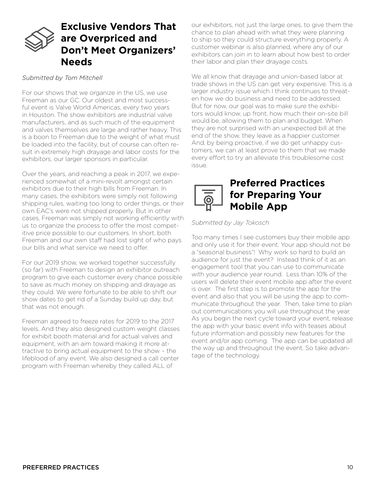### **Exclusive Vendors That are Overpriced and Don't Meet Organizers' Needs**

#### *Submitted by Tom Mitchell*

For our shows that we organize in the US, we use Freeman as our GC. Our oldest and most successful event is Valve World Americas, every two years in Houston. The show exhibitors are industrial valve manufacturers, and as such much of the equipment and valves themselves are large and rather heavy. This is a boon to Freeman due to the weight of what must be loaded into the facility, but of course can often result in extremely high drayage and labor costs for the exhibitors, our larger sponsors in particular.

Over the years, and reaching a peak in 2017, we experienced somewhat of a mini-revolt amongst certain exhibitors due to their high bills from Freeman. In many cases, the exhibitors were simply not following shipping rules, waiting too long to order things, or their own EAC's were not shipped properly. But in other cases, Freeman was simply not working efficiently with us to organize the process to offer the most competitive price possible to our customers. In short, both Freeman and our own staff had lost sight of who pays our bills and what service we need to offer.

For our 2019 show, we worked together successfully (so far) with Freeman to design an exhibitor outreach program to give each customer every chance possible to save as much money on shipping and drayage as they could. We were fortunate to be able to shift our show dates to get rid of a Sunday build up day, but that was not enough.

Freeman agreed to freeze rates for 2019 to the 2017 levels. And they also designed custom weight classes for exhibit booth material and for actual valves and equipment, with an aim toward making it more attractive to bring actual equipment to the show – the lifeblood of any event. We also designed a call center program with Freeman whereby they called ALL of

our exhibitors, not just the large ones, to give them the chance to plan ahead with what they were planning to ship so they could structure everything properly. A customer webinar is also planned, where any of our exhibitors can join in to learn about how best to order their labor and plan their drayage costs.

We all know that drayage and union-based labor at trade shows in the US can get very expensive. This is a larger industry issue which I think continues to threaten how we do business and need to be addressed. But for now, our goal was to make sure the exhibitors would know, up front, how much their on-site bill would be, allowing them to plan and budget. When they are not surprised with an unexpected bill at the end of the show, they leave as a happier customer. And, by being proactive, if we do get unhappy customers, we can at least prove to them that we made every effort to try an alleviate this troublesome cost issue.



*Submitted by Jay Tokosch*

Too many times I see customers buy their mobile app and only use it for their event. Your app should not be a "seasonal business"! Why work so hard to build an audience for just the event? Instead think of it as an engagement tool that you can use to communicate with your audience year round. Less than 10% of the users will delete their event mobile app after the event is over. The first step is to promote the app for the event and also that you will be using the app to communicate throughout the year. Then, take time to plan out communications you will use throughout the year. As you begin the next cycle toward your event, release the app with your basic event info with teases about future information and possibly new features for the event and/or app coming. The app can be updated all the way up and throughout the event. So take advantage of the technology.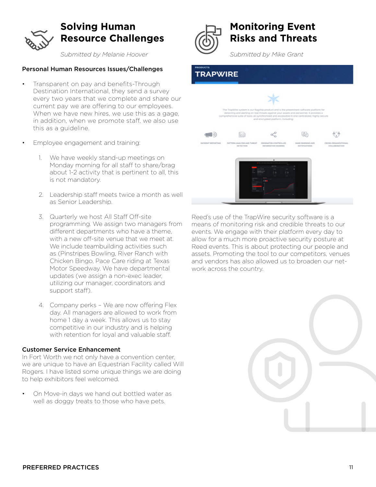

### **Solving Human Resource Challenges**

*Submitted by Melanie Hoover*

#### Personal Human Resources Issues/Challenges

- Transparent on pay and benefits-Through Destination International, they send a survey every two years that we complete and share our current pay we are offering to our employees. When we have new hires, we use this as a gage, in addition, when we promote staff, we also use this as a guideline.
- Employee engagement and training:
	- 1. We have weekly stand-up meetings on Monday morning for all staff to share/brag about 1-2 activity that is pertinent to all, this is not mandatory.
	- 2. Leadership staff meets twice a month as well as Senior Leadership.
	- 3. Quarterly we host All Staff Off-site programming. We assign two managers from different departments who have a theme, with a new off-site venue that we meet at. We include teambuilding activities such as (Pinstripes Bowling, River Ranch with Chicken Bingo, Pace Care riding at Texas Motor Speedway. We have departmental updates (we assign a non-exec leader, utilizing our manager, coordinators and support staff).
	- 4. Company perks We are now offering Flex day. All managers are allowed to work from home 1 day a week. This allows us to stay competitive in our industry and is helping with retention for loyal and valuable staff.

#### Customer Service Enhancement

In Fort Worth we not only have a convention center, we are unique to have an Equestrian Facility called Will Rogers. I have listed some unique things we are doing to help exhibitors feel welcomed.

• On Move-in days we hand out bottled water as well as doggy treats to those who have pets.



### **Monitoring Event Risks and Threats**

*Submitted by Mike Grant* 

### **RAPWIRE**



Reed's use of the TrapWire security software is a means of monitoring risk and credible threats to our events. We engage with their platform every day to allow for a much more proactive security posture at Reed events. This is about protecting our people and assets. Promoting the tool to our competitors, venues and vendors has also allowed us to broaden our network across the country.

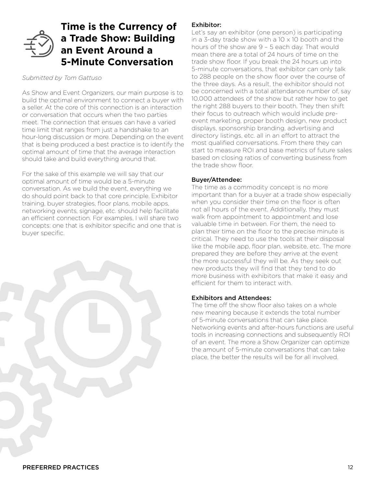### **Time is the Currency of a Trade Show: Building an Event Around a 5-Minute Conversation**

### *Submitted by Tom Gattuso*

As Show and Event Organizers, our main purpose is to build the optimal environment to connect a buyer with a seller. At the core of this connection is an interaction or conversation that occurs when the two parties meet. The connection that ensues can have a varied time limit that ranges from just a handshake to an hour-long discussion or more. Depending on the event that is being produced a best practice is to identify the optimal amount of time that the average interaction should take and build everything around that.

For the sake of this example we will say that our optimal amount of time would be a 5-minute conversation. As we build the event, everything we do should point back to that core principle. Exhibitor training, buyer strategies, floor plans, mobile apps, networking events, signage, etc. should help facilitate an efficient connection. For examples, I will share two concepts: one that is exhibitor specific and one that is buyer specific.

#### Exhibitor:

Let's say an exhibitor (one person) is participating in a 3-day trade show with a  $10 \times 10$  booth and the hours of the show are 9 – 5 each day. That would mean there are a total of 24 hours of time on the trade show floor. If you break the 24 hours up into 5-minute conversations, that exhibitor can only talk to 288 people on the show floor over the course of the three days. As a result, the exhibitor should not be concerned with a total attendance number of, say 10,000 attendees of the show but rather how to get the right 288 buyers to their booth. They then shift their focus to outreach which would include preevent marketing, proper booth design, new product displays, sponsorship branding, advertising and directory listings, etc. all in an effort to attract the most qualified conversations. From there they can start to measure ROI and base metrics of future sales based on closing ratios of converting business from the trade show floor.

#### Buyer/Attendee:

The time as a commodity concept is no more important than for a buyer at a trade show especially when you consider their time on the floor is often not all hours of the event. Additionally, they must walk from appointment to appointment and lose valuable time in between. For them, the need to plan their time on the floor to the precise minute is critical. They need to use the tools at their disposal like the mobile app, floor plan, website, etc. The more prepared they are before they arrive at the event the more successful they will be. As they seek out new products they will find that they tend to do more business with exhibitors that make it easy and efficient for them to interact with.

#### Exhibitors and Attendees:

The time off the show floor also takes on a whole new meaning because it extends the total number of 5-minute conversations that can take place. Networking events and after-hours functions are useful tools in increasing connections and subsequently ROI of an event. The more a Show Organizer can optimize the amount of 5-minute conversations that can take place, the better the results will be for all involved.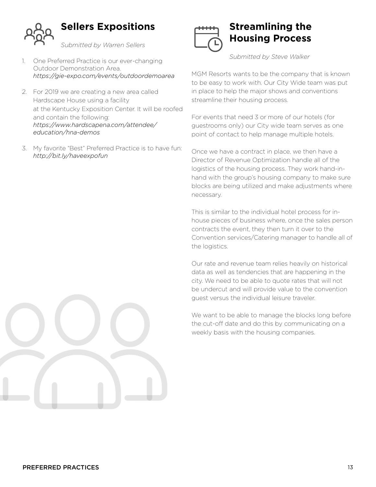

### **Sellers Expositions**

*Submitted by Warren Sellers*

- 1. One Preferred Practice is our ever-changing Outdoor Demonstration Area. *https://gie-expo.com/events/outdoordemoarea*
- 2. For 2019 we are creating a new area called Hardscape House using a facility at the Kentucky Exposition Center. It will be roofed and contain the following: *https://www.hardscapena.com/attendee/ education/hna-demos*
- 3. My favorite "Best" Preferred Practice is to have fun: *http://bit.ly/haveexpofun*



### **Streamlining the Housing Process**

*Submitted by Steve Walker* 

MGM Resorts wants to be the company that is known to be easy to work with. Our City Wide team was put in place to help the major shows and conventions streamline their housing process.

For events that need 3 or more of our hotels (for guestrooms only) our City wide team serves as one point of contact to help manage multiple hotels.

Once we have a contract in place, we then have a Director of Revenue Optimization handle all of the logistics of the housing process. They work hand-inhand with the group's housing company to make sure blocks are being utilized and make adjustments where necessary.

This is similar to the individual hotel process for inhouse pieces of business where, once the sales person contracts the event, they then turn it over to the Convention services/Catering manager to handle all of the logistics.

Our rate and revenue team relies heavily on historical data as well as tendencies that are happening in the city. We need to be able to quote rates that will not be undercut and will provide value to the convention guest versus the individual leisure traveler.

We want to be able to manage the blocks long before the cut-off date and do this by communicating on a weekly basis with the housing companies.

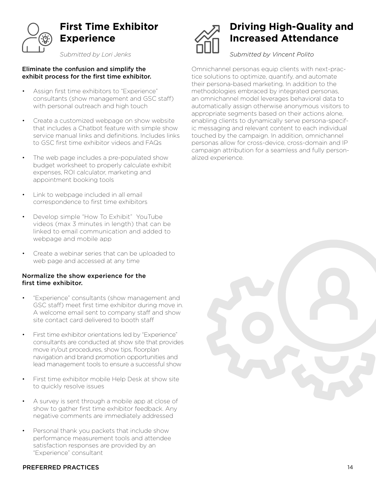

### **First Time Exhibitor Experience**

*Submitted by Lori Jenks*

#### Eliminate the confusion and simplify the exhibit process for the first time exhibitor.

- Assign first time exhibitors to "Experience" consultants (show management and GSC staff) with personal outreach and high touch
- Create a customized webpage on show website that includes a Chatbot feature with simple show service manual links and definitions. Includes links to GSC first time exhibitor videos and FAQs
- The web page includes a pre-populated show budget worksheet to properly calculate exhibit expenses, ROI calculator, marketing and appointment booking tools
- Link to webpage included in all email correspondence to first time exhibitors
- Develop simple "How To Exhibit" YouTube videos (max 3 minutes in length) that can be linked to email communication and added to webpage and mobile app
- Create a webinar series that can be uploaded to web page and accessed at any time

#### Normalize the show experience for the first time exhibitor.

- "Experience" consultants (show management and GSC staff) meet first time exhibitor during move in. A welcome email sent to company staff and show site contact card delivered to booth staff
- First time exhibitor orientations led by "Experience" consultants are conducted at show site that provides move in/out procedures, show tips, floorplan navigation and brand promotion opportunities and lead management tools to ensure a successful show
- First time exhibitor mobile Help Desk at show site to quickly resolve issues
- A survey is sent through a mobile app at close of show to gather first time exhibitor feedback. Any negative comments are immediately addressed
- Personal thank you packets that include show performance measurement tools and attendee satisfaction responses are provided by an "Experience" consultant

### **Driving High-Quality and Increased Attendance**

*Submitted by Vincent Polito* 

Omnichannel personas equip clients with next-practice solutions to optimize, quantify, and automate their persona-based marketing. In addition to the methodologies embraced by integrated personas, an omnichannel model leverages behavioral data to automatically assign otherwise anonymous visitors to appropriate segments based on their actions alone, enabling clients to dynamically serve persona-specific messaging and relevant content to each individual touched by the campaign. In addition, omnichannel personas allow for cross-device, cross-domain and IP campaign attribution for a seamless and fully personalized experience.



#### PREFERRED PRACTICES And the state of the state of the state of the state of the state of the state of the state of the state of the state of the state of the state of the state of the state of the state of the state of the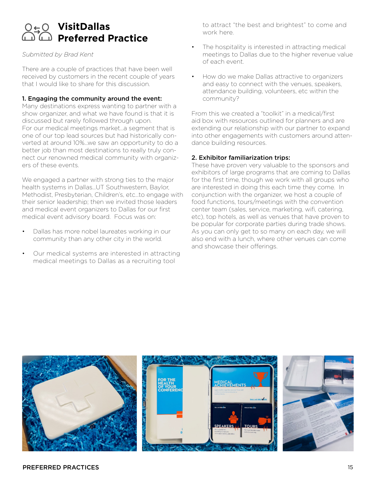### **VisitDallas Preferred Practice**

#### *Submitted by Brad Kent*

There are a couple of practices that have been well received by customers in the recent couple of years that I would like to share for this discussion.

#### 1. Engaging the community around the event:

Many destinations express wanting to partner with a show organizer, and what we have found is that it is discussed but rarely followed through upon. For our medical meetings market…a segment that is one of our top lead sources but had historically converted at around 10%...we saw an opportunity to do a better job than most destinations to really truly connect our renowned medical community with organizers of these events.

We engaged a partner with strong ties to the major health systems in Dallas…UT Southwestern, Baylor, Methodist, Presbyterian, Children's, etc…to engage with their senior leadership; then we invited those leaders and medical event organizers to Dallas for our first medical event advisory board. Focus was on:

- Dallas has more nobel laureates working in our community than any other city in the world.
- Our medical systems are interested in attracting medical meetings to Dallas as a recruiting tool

to attract "the best and brightest" to come and work here.

- The hospitality is interested in attracting medical meetings to Dallas due to the higher revenue value of each event.
- How do we make Dallas attractive to organizers and easy to connect with the venues, speakers, attendance building, volunteers, etc within the community?

From this we created a "toolkit" in a medical/first aid box with resources outlined for planners and are extending our relationship with our partner to expand into other engagements with customers around attendance building resources.

#### 2. Exhibitor familiarization trips:

These have proven very valuable to the sponsors and exhibitors of large programs that are coming to Dallas for the first time, though we work with all groups who are interested in doing this each time they come. In conjunction with the organizer, we host a couple of food functions, tours/meetings with the convention center team (sales, service, marketing, wifi, catering, etc), top hotels, as well as venues that have proven to be popular for corporate parties during trade shows. As you can only get to so many on each day, we will also end with a lunch, where other venues can come and showcase their offerings.

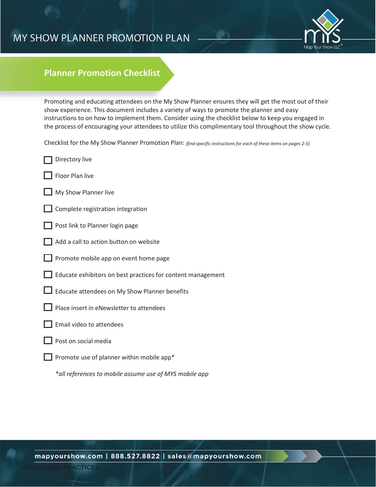### MY SHOW PLANNER PROMOTION PLAN



### **Planner Promotion Checklist**

Promoting and educating attendees on the My Show Planner ensures they will get the most out of their show experience. This document includes a variety of ways to promote the planner and easy instructions to on how to implement them. Consider using the checklist below to keep you engaged in the process of encouraging your attendees to utilize this complimentary tool throughout the show cycle.

Checklist for the My Show Planner Promotion Plan: *(find specific instructions for each of these items on pages 2-5)*

- Directory live
- Floor Plan live
- My Show Planner live
- **Complete registration integration**
- Post link to Planner login page
- Add a call to action button on website
- Promote mobile app on event home page
- $\Box$  Educate exhibitors on best practices for content management
- Educate attendees on My Show Planner benefits
- Place insert in eNewsletter to attendees
- Email video to attendees
- Post on social media
- Promote use of planner within mobile app\*

*\*all references to mobile assume use of MYS mobile app*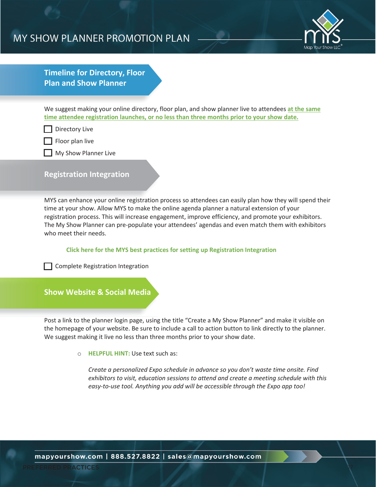### MY SHOW PLANNER PROMOTION PLAN



**Timeline for Directory, Floor Plan and Show Planner**

We suggest making your online directory, floor plan, and show planner live to attendees **at the same time attendee registration launches, or no less than three months prior to your show date.**

Directory Live

Floor plan live

**My Show Planner Live** 

#### **Registration Integration**

MYS can enhance your online registration process so attendees can easily plan how they will spend their time at your show. Allow MYS to make the online agenda planner a natural extension of your registration process. This will increase engagement, improve efficiency, and promote your exhibitors. The My Show Planner can pre-populate your attendees' agendas and even match them with exhibitors who meet their needs.

#### **Click here for the MYS best practices for setting up Registration Integration**

Complete Registration Integration

**Show Website & Social Media**

Post a link to the planner login page, using the title "Create a My Show Planner" and make it visible on the homepage of your website. Be sure to include a call to action button to link directly to the planner. We suggest making it live no less than three months prior to your show date.

o **HELPFUL HINT:** Use text such as:

*Create a personalized Expo schedule in advance so you don't waste time onsite. Find exhibitors to visit, education sessions to attend and create a meeting schedule with this easy-to-use tool. Anything you add will be accessible through the Expo app too!*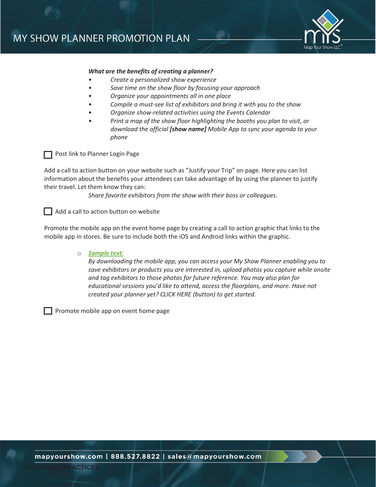

#### *What are the benefits of creating a planner?*

- *Create a personalized show experience*
	- *Save time on the show floor by focusing your approach*
- *Organize your appointments all in one place*
- *Compile a must-see list of exhibitors and bring it with you to the show*
- *Organize show-related activities using the Events Calendar*
- *Print a map of the show floor highlighting the booths you plan to visit, or download the official [show name] Mobile App to sync your agenda to your phone*



**Post link to Planner Login Page** 

Add a call to action button on your website such as "Justify your Trip" on page. Here you can list information about the benefits your attendees can take advantage of by using the planner to justify their travel. Let them know they can:

*Share favorite exhibitors from the show with their boss or colleagues.*

Add a call to action button on website

Promote the mobile app on the event home page by creating a call to action graphic that links to the mobile app in stores. Be sure to include both the iOS and Android links within the graphic.

#### o *Sample text:*

*By downloading the mobile app, you can access your My Show Planner enabling you to save exhibitors or products you are interested in, upload photos you capture while onsite and tag exhibitors to those photos for future reference. You may also plan for educational sessions you'd like to attend, access the floorplans, and more. Have not created your planner yet? CLICK HERE (button) to get started.*

Promote mobile app on event home page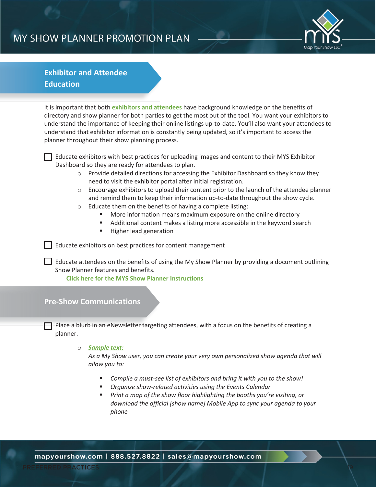### MY SHOW PLANNER PROMOTION PLAN



### **Exhibitor and Attendee Education**

It is important that both **exhibitors and attendees** have background knowledge on the benefits of directory and show planner for both parties to get the most out of the tool. You want your exhibitors to understand the importance of keeping their online listings up-to-date. You'll also want your attendees to understand that exhibitor information is constantly being updated, so it's important to access the planner throughout their show planning process.

Educate exhibitors with best practices for uploading images and content to their MYS Exhibitor Dashboard so they are ready for attendees to plan.

- $\circ$  Provide detailed directions for accessing the Exhibitor Dashboard so they know they need to visit the exhibitor portal after initial registration.
- $\circ$  Encourage exhibitors to upload their content prior to the launch of the attendee planner and remind them to keep their information up-to-date throughout the show cycle.
- o Educate them on the benefits of having a complete listing:
	- More information means maximum exposure on the online directory
	- Additional content makes a listing more accessible in the keyword search
	- **Higher lead generation**

Educate exhibitors on best practices for content management

Educate attendees on the benefits of using the My Show Planner by providing a document outlining Show Planner features and benefits.

**Click here for the MYS Show Planner Instructions**

### **Pre-Show Communications**

Place a blurb in an eNewsletter targeting attendees, with a focus on the benefits of creating a planner.

#### o *Sample text:*

*As a My Show user, you can create your very own personalized show agenda that will allow you to:*

- *Compile a must-see list of exhibitors and bring it with you to the show!*
- *Organize show-related activities using the Events Calendar*
- *Print a map of the show floor highlighting the booths you're visiting, or download the official [show name] Mobile App to sync your agenda to your phone*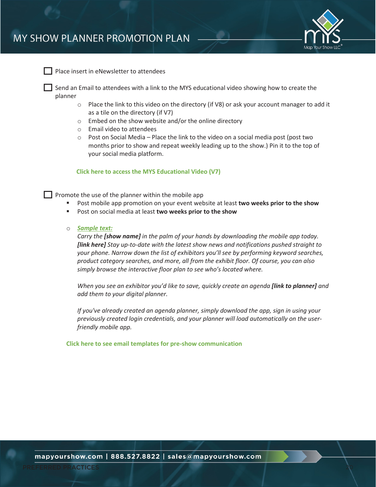

Place insert in eNewsletter to attendees

Send an Email to attendees with a link to the MYS educational video showing how to create the planner

- $\circ$  Place the link to this video on the directory (if V8) or ask your account manager to add it as a tile on the directory (if V7)
- o Embed on the show website and/or the online directory
- o Email video to attendees
- $\circ$  Post on Social Media Place the link to the video on a social media post (post two months prior to show and repeat weekly leading up to the show.) Pin it to the top of your social media platform.

**Click here to access the MYS Educational Video (V7)**

 $\Box$  Promote the use of the planner within the mobile app

- Post mobile app promotion on your event website at least **two weeks prior to the show**
- Post on social media at least **two weeks prior to the show**
- o *Sample text:*

*Carry the [show name] in the palm of your hands by downloading the mobile app today. [link here] Stay up-to-date with the latest show news and notifications pushed straight to your phone. Narrow down the list of exhibitors you'll see by performing keyword searches, product category searches, and more, all from the exhibit floor. Of course, you can also simply browse the interactive floor plan to see who's located where.*

*When you see an exhibitor you'd like to save, quickly create an agenda [link to planner] and add them to your digital planner.*

*If you've already created an agenda planner, simply download the app, sign in using your previously created login credentials, and your planner will load automatically on the userfriendly mobile app.*

**Click here to see email templates for pre-show communication**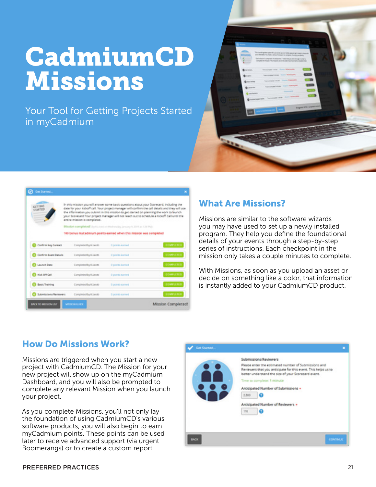# CadmiumCD Missions

Your Tool for Getting Projects Started in myCadmium



| GITTING<br><b>STARTED</b>      | entire mission is completed. | In this mission you will arrawer some basic questions about your Scorecard, including the<br>date for your kickoff call. Your project manager will confirm the call details and they will use<br>the information you submit in this mission to get started on planning the work to launch<br>your Scorecard Your project manager will not reach out to schedule a Kickoff Call until the |                  |
|--------------------------------|------------------------------|------------------------------------------------------------------------------------------------------------------------------------------------------------------------------------------------------------------------------------------------------------------------------------------------------------------------------------------------------------------------------------------|------------------|
|                                |                              | Mission completed! Its Unions an Waltsman January 9, 2019 at 5,34 PMS<br>100 benus myCadmium points earned when this mission was completed                                                                                                                                                                                                                                               |                  |
| Confirm Key Cormez             | Completed by K.Leotti        | <b>Contracted</b>                                                                                                                                                                                                                                                                                                                                                                        | COMPUTED         |
| Confirm Event Details          | Completed by K.Leotti        | <b>C</b> points earned                                                                                                                                                                                                                                                                                                                                                                   | <b>COMPLETED</b> |
| Leunch Date                    | Completed by K.Leotti        | <b>C</b> points earned                                                                                                                                                                                                                                                                                                                                                                   | <b>COMPLETED</b> |
| <b>B</b> Kick Off Call         | Completed by K.Leotti        | <b>Coords</b> earned                                                                                                                                                                                                                                                                                                                                                                     | <b>COMPLETED</b> |
| <b>Basic Training</b>          | Completed by KLeichl         | <b>Coord caned</b>                                                                                                                                                                                                                                                                                                                                                                       | COMPLETED        |
| <b>C Submissions/Neviewers</b> | Completed by K.Leotti        | <b>Coord caned</b>                                                                                                                                                                                                                                                                                                                                                                       | <b>COMPLETED</b> |

### What Are Missions?

Missions are similar to the software wizards you may have used to set up a newly installed program. They help you define the foundational details of your events through a step-by-step series of instructions. Each checkpoint in the mission only takes a couple minutes to complete.

With Missions, as soon as you upload an asset or decide on something like a color, that information is instantly added to your CadmiumCD product.

### How Do Missions Work?

Missions are triggered when you start a new project with CadmiumCD. The Mission for your new project will show up on the myCadmium Dashboard, and you will also be prompted to complete any relevant Mission when you launch your project.

As you complete Missions, you'll not only lay the foundation of using CadmiumCD's various software products, you will also begin to earn myCadmium points. These points can be used later to receive advanced support (via urgent Boomerangs) or to create a custom report.

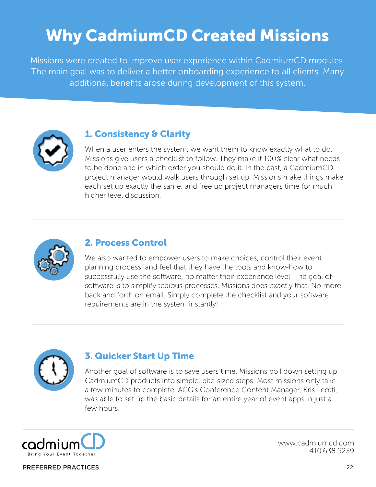## Why CadmiumCD Created Missions

Missions were created to improve user experience within CadmiumCD modules. The main goal was to deliver a better onboarding experience to all clients. Many additional benefits arose during development of this system.



### 1. Consistency & Clarity

When a user enters the system, we want them to know exactly what to do. Missions give users a checklist to follow. They make it 100% clear what needs to be done and in which order you should do it. In the past, a CadmiumCD project manager would walk users through set up. Missions make things make each set up exactly the same, and free up project managers time for much higher level discussion.



### 2. Process Control

We also wanted to empower users to make choices, control their event planning process, and feel that they have the tools and know-how to successfully use the software, no matter their experience level. The goal of software is to simplify tedious processes. Missions does exactly that. No more back and forth on email. Simply complete the checklist and your software requirements are in the system instantly!



### 3. Quicker Start Up Time

Another goal of software is to save users time. Missions boil down setting up CadmiumCD products into simple, bite-sized steps. Most missions only take a few minutes to complete. ACG's Conference Content Manager, Kris Leotti, was able to set up the basic details for an entire year of event apps in just a few hours.



www.cadmiumcd.com 410.638.9239

#### PREFERRED PRACTICES 22